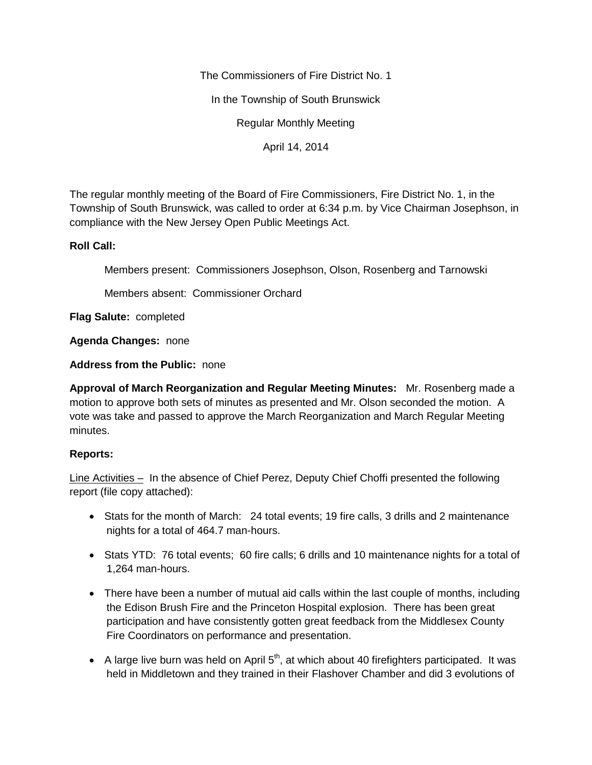The Commissioners of Fire District No. 1

In the Township of South Brunswick

Regular Monthly Meeting

April 14, 2014

The regular monthly meeting of the Board of Fire Commissioners, Fire District No. 1, in the Township of South Brunswick, was called to order at 6:34 p.m. by Vice Chairman Josephson, in compliance with the New Jersey Open Public Meetings Act.

## **Roll Call:**

Members present: Commissioners Josephson, Olson, Rosenberg and Tarnowski

Members absent: Commissioner Orchard

**Flag Salute:** completed

**Agenda Changes:** none

**Address from the Public:** none

**Approval of March Reorganization and Regular Meeting Minutes:** Mr. Rosenberg made a motion to approve both sets of minutes as presented and Mr. Olson seconded the motion. A vote was take and passed to approve the March Reorganization and March Regular Meeting minutes.

## **Reports:**

Line Activities – In the absence of Chief Perez, Deputy Chief Choffi presented the following report (file copy attached):

- Stats for the month of March: 24 total events; 19 fire calls, 3 drills and 2 maintenance nights for a total of 464.7 man-hours.
- Stats YTD: 76 total events; 60 fire calls; 6 drills and 10 maintenance nights for a total of 1,264 man-hours.
- There have been a number of mutual aid calls within the last couple of months, including the Edison Brush Fire and the Princeton Hospital explosion. There has been great participation and have consistently gotten great feedback from the Middlesex County Fire Coordinators on performance and presentation.
- A large live burn was held on April  $5<sup>th</sup>$ , at which about 40 firefighters participated. It was held in Middletown and they trained in their Flashover Chamber and did 3 evolutions of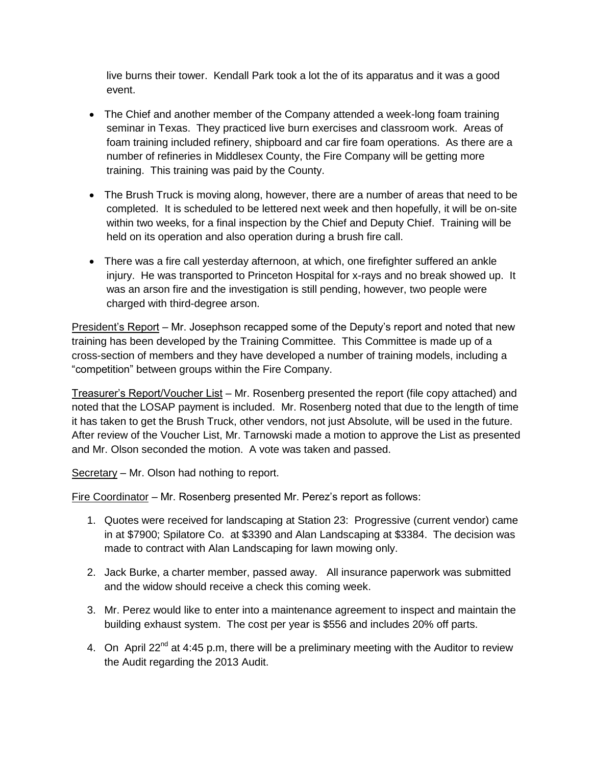live burns their tower. Kendall Park took a lot the of its apparatus and it was a good event.

- The Chief and another member of the Company attended a week-long foam training seminar in Texas. They practiced live burn exercises and classroom work. Areas of foam training included refinery, shipboard and car fire foam operations. As there are a number of refineries in Middlesex County, the Fire Company will be getting more training. This training was paid by the County.
- The Brush Truck is moving along, however, there are a number of areas that need to be completed. It is scheduled to be lettered next week and then hopefully, it will be on-site within two weeks, for a final inspection by the Chief and Deputy Chief. Training will be held on its operation and also operation during a brush fire call.
- There was a fire call yesterday afternoon, at which, one firefighter suffered an ankle injury. He was transported to Princeton Hospital for x-rays and no break showed up. It was an arson fire and the investigation is still pending, however, two people were charged with third-degree arson.

President's Report – Mr. Josephson recapped some of the Deputy's report and noted that new training has been developed by the Training Committee. This Committee is made up of a cross-section of members and they have developed a number of training models, including a "competition" between groups within the Fire Company.

Treasurer's Report/Voucher List – Mr. Rosenberg presented the report (file copy attached) and noted that the LOSAP payment is included. Mr. Rosenberg noted that due to the length of time it has taken to get the Brush Truck, other vendors, not just Absolute, will be used in the future. After review of the Voucher List, Mr. Tarnowski made a motion to approve the List as presented and Mr. Olson seconded the motion. A vote was taken and passed.

Secretary – Mr. Olson had nothing to report.

Fire Coordinator – Mr. Rosenberg presented Mr. Perez's report as follows:

- 1. Quotes were received for landscaping at Station 23: Progressive (current vendor) came in at \$7900; Spilatore Co. at \$3390 and Alan Landscaping at \$3384. The decision was made to contract with Alan Landscaping for lawn mowing only.
- 2. Jack Burke, a charter member, passed away. All insurance paperwork was submitted and the widow should receive a check this coming week.
- 3. Mr. Perez would like to enter into a maintenance agreement to inspect and maintain the building exhaust system. The cost per year is \$556 and includes 20% off parts.
- 4. On April 22<sup>nd</sup> at 4:45 p.m, there will be a preliminary meeting with the Auditor to review the Audit regarding the 2013 Audit.